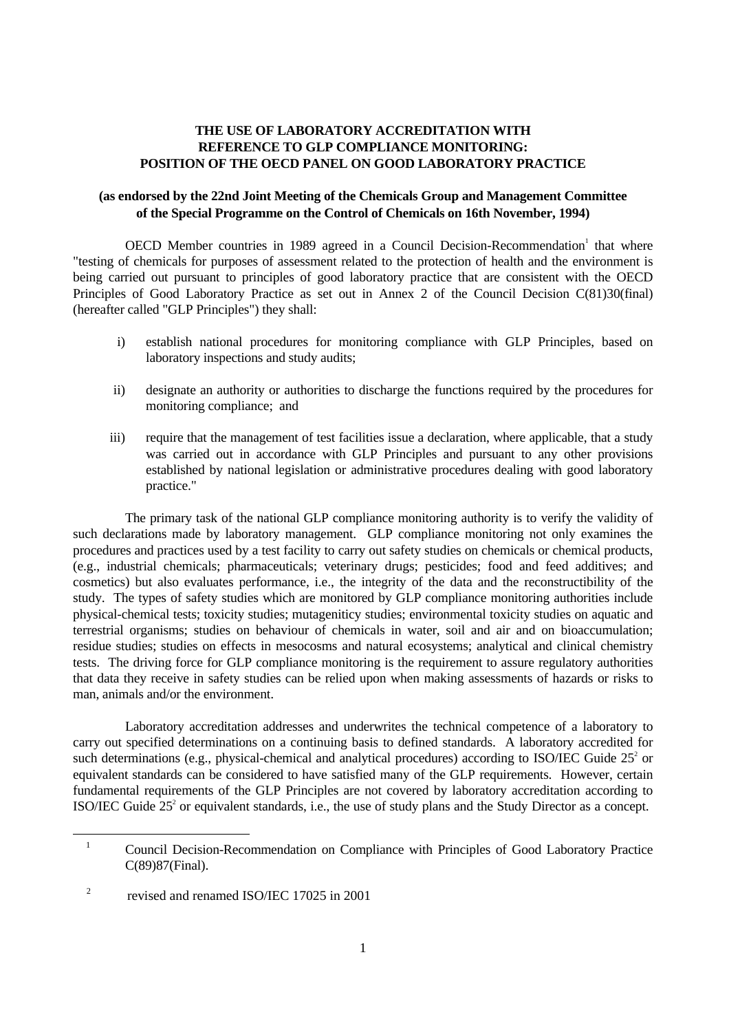## **THE USE OF LABORATORY ACCREDITATION WITH REFERENCE TO GLP COMPLIANCE MONITORING: POSITION OF THE OECD PANEL ON GOOD LABORATORY PRACTICE**

## **(as endorsed by the 22nd Joint Meeting of the Chemicals Group and Management Committee of the Special Programme on the Control of Chemicals on 16th November, 1994)**

OECD Member countries in 1989 agreed in a Council Decision-Recommendation<sup>1</sup> that where "testing of chemicals for purposes of assessment related to the protection of health and the environment is being carried out pursuant to principles of good laboratory practice that are consistent with the OECD Principles of Good Laboratory Practice as set out in Annex 2 of the Council Decision C(81)30(final) (hereafter called "GLP Principles") they shall:

- i) establish national procedures for monitoring compliance with GLP Principles, based on laboratory inspections and study audits;
- ii) designate an authority or authorities to discharge the functions required by the procedures for monitoring compliance; and
- iii) require that the management of test facilities issue a declaration, where applicable, that a study was carried out in accordance with GLP Principles and pursuant to any other provisions established by national legislation or administrative procedures dealing with good laboratory practice."

The primary task of the national GLP compliance monitoring authority is to verify the validity of such declarations made by laboratory management. GLP compliance monitoring not only examines the procedures and practices used by a test facility to carry out safety studies on chemicals or chemical products, (e.g., industrial chemicals; pharmaceuticals; veterinary drugs; pesticides; food and feed additives; and cosmetics) but also evaluates performance, i.e., the integrity of the data and the reconstructibility of the study. The types of safety studies which are monitored by GLP compliance monitoring authorities include physical-chemical tests; toxicity studies; mutageniticy studies; environmental toxicity studies on aquatic and terrestrial organisms; studies on behaviour of chemicals in water, soil and air and on bioaccumulation; residue studies; studies on effects in mesocosms and natural ecosystems; analytical and clinical chemistry tests. The driving force for GLP compliance monitoring is the requirement to assure regulatory authorities that data they receive in safety studies can be relied upon when making assessments of hazards or risks to man, animals and/or the environment.

Laboratory accreditation addresses and underwrites the technical competence of a laboratory to carry out specified determinations on a continuing basis to defined standards. A laboratory accredited for such determinations (e.g., physical-chemical and analytical procedures) according to ISO/IEC Guide  $25<sup>2</sup>$  or equivalent standards can be considered to have satisfied many of the GLP requirements. However, certain fundamental requirements of the GLP Principles are not covered by laboratory accreditation according to ISO/IEC Guide  $25<sup>2</sup>$  or equivalent standards, i.e., the use of study plans and the Study Director as a concept.

<u>.</u>

<sup>&</sup>lt;sup>1</sup> Council Decision-Recommendation on Compliance with Principles of Good Laboratory Practice C(89)87(Final).

<sup>2</sup> revised and renamed ISO/IEC 17025 in 2001